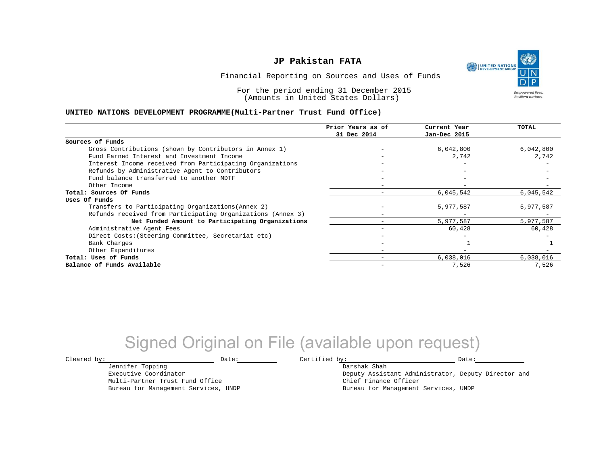UNITED NATIONS **Empowered lives Resilient nations.** 

Financial Reporting on Sources and Uses of Funds

For the period ending 31 December 2015 (Amounts in United States Dollars)

#### **UNITED NATIONS DEVELOPMENT PROGRAMME(Multi-Partner Trust Fund Office)**

|                                                             | Prior Years as of        | Current Year | TOTAL     |
|-------------------------------------------------------------|--------------------------|--------------|-----------|
|                                                             | 31 Dec 2014              | Jan-Dec 2015 |           |
| Sources of Funds                                            |                          |              |           |
| Gross Contributions (shown by Contributors in Annex 1)      |                          | 6,042,800    | 6,042,800 |
| Fund Earned Interest and Investment Income                  |                          | 2,742        | 2,742     |
| Interest Income received from Participating Organizations   |                          |              |           |
| Refunds by Administrative Agent to Contributors             |                          |              |           |
| Fund balance transferred to another MDTF                    |                          |              |           |
| Other Income                                                |                          |              |           |
| Total: Sources Of Funds                                     |                          | 6,045,542    | 6,045,542 |
| Uses Of Funds                                               |                          |              |           |
| Transfers to Participating Organizations (Annex 2)          |                          | 5,977,587    | 5,977,587 |
| Refunds received from Participating Organizations (Annex 3) |                          |              |           |
| Net Funded Amount to Participating Organizations            |                          | 5,977,587    | 5,977,587 |
| Administrative Agent Fees                                   |                          | 60,428       | 60,428    |
| Direct Costs: (Steering Committee, Secretariat etc)         |                          |              |           |
| Bank Charges                                                |                          |              |           |
| Other Expenditures                                          | $\overline{\phantom{m}}$ |              |           |
| Total: Uses of Funds                                        |                          | 6,038,016    | 6,038,016 |
| Balance of Funds Available                                  | $\overline{\phantom{0}}$ | 7,526        | 7,526     |

## Signed Original on File (available upon request)

Jennifer Topping Executive Coordinator

Multi-Partner Trust Fund Office Bureau for Management Services, UNDP

 $\texttt{Cleared by:}\footnotesize \begin{minipage}{0.9\linewidth} \texttt{Date:}\footnotesize \begin{minipage}{0.9\linewidth} \texttt{Date:}\footnotesize \begin{minipage}{0.9\linewidth} \end{minipage} \end{minipage}$ 

Darshak Shah Deputy Assistant Administrator, Deputy Director and Chief Finance Officer Bureau for Management Services, UNDP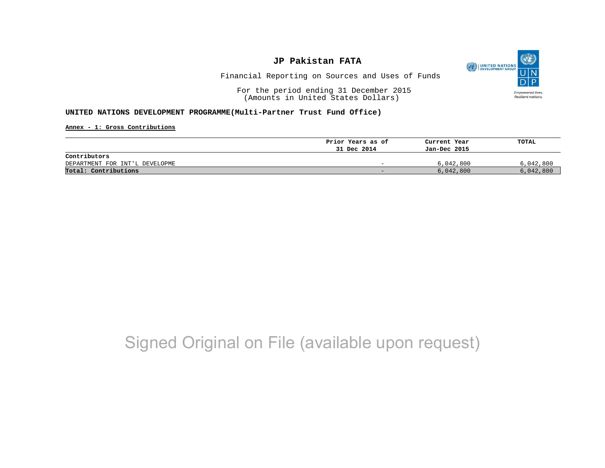

Financial Reporting on Sources and Uses of Funds

For the period ending 31 December 2015 (Amounts in United States Dollars)

#### **UNITED NATIONS DEVELOPMENT PROGRAMME(Multi-Partner Trust Fund Office)**

**Annex - 1: Gross Contributions**

|                                | Prior Years as of | Current Year | TOTAL     |
|--------------------------------|-------------------|--------------|-----------|
|                                | 31 Dec 2014       | Jan-Dec 2015 |           |
| Contributors                   |                   |              |           |
| DEPARTMENT FOR INT'L DEVELOPME | -                 | 6,042,800    | 6,042,800 |
| Total: Contributions           | -                 | 6,042,800    | 6,042,800 |

## Signed Original on File (available upon request)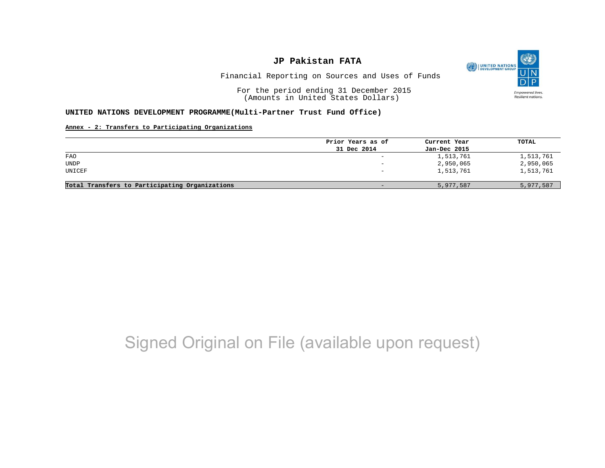

Financial Reporting on Sources and Uses of Funds

For the period ending 31 December 2015 (Amounts in United States Dollars)

#### **UNITED NATIONS DEVELOPMENT PROGRAMME(Multi-Partner Trust Fund Office)**

#### **Annex - 2: Transfers to Participating Organizations**

|                                                | Prior Years as of | Current Year | TOTAL     |
|------------------------------------------------|-------------------|--------------|-----------|
|                                                | 31 Dec 2014       | Jan-Dec 2015 |           |
| FAO                                            | $\qquad \qquad -$ | 1,513,761    | 1,513,761 |
| UNDP                                           |                   | 2,950,065    | 2,950,065 |
| UNICEF                                         |                   | 1,513,761    | 1,513,761 |
| Total Transfers to Participating Organizations | $\qquad \qquad -$ | 5,977,587    | 5,977,587 |

## Signed Original on File (available upon request)